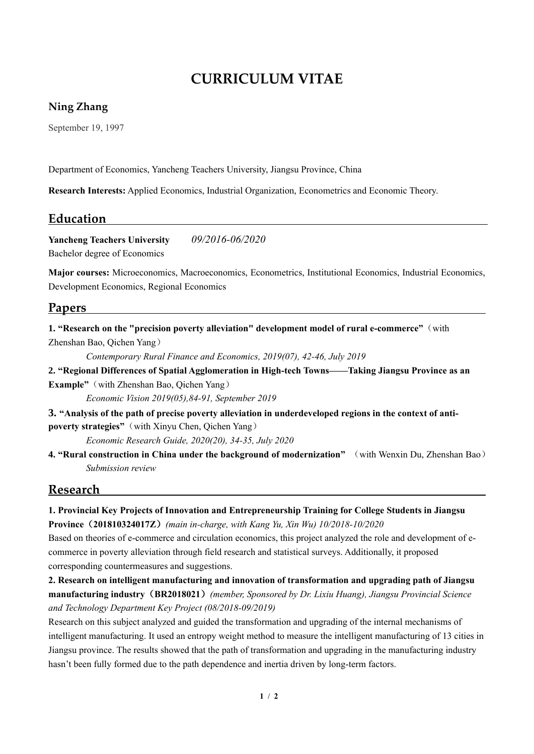# **CURRICULUM VITAE**

#### **Ning Zhang**

September 19, 1997

Department of Economics, Yancheng Teachers University, Jiangsu Province, China

**Research Interests:** Applied Economics, Industrial Organization, Econometrics and Economic Theory.

### **Education**

**Yancheng Teachers University** *09/2016-06/2020* Bachelor degree of Economics

**Major courses:** Microeconomics, Macroeconomics, Econometrics, Institutional Economics, Industrial Economics, Development Economics, Regional Economics

### **Papers**

**1. "Research on the "precision poverty alleviation" development model of rural e-commerce"**(with Zhenshan Bao, Qichen Yang)

*Contemporary Rural Finance and Economics, 2019(07), 42-46, July 2019* 

**2. "Regional Differences of Spatial Agglomeration in High-tech Towns——Taking Jiangsu Province as an Example"**(with Zhenshan Bao, Qichen Yang)

*Economic Vision 2019(05),84-91, September 2019*

**3. "Analysis of the path of precise poverty alleviation in underdeveloped regions in the context of antipoverty strategies"**(with Xinyu Chen, Qichen Yang)

*Economic Research Guide, 2020(20), 34-35, July 2020*

**4. "Rural construction in China under the background of modernization"** (with Wenxin Du, Zhenshan Bao) *Submission review*

### **Research**

**1. Provincial Key Projects of Innovation and Entrepreneurship Training for College Students in Jiangsu Province**(**201810324017Z**)*(main in-charge, with Kang Yu, Xin Wu) 10/2018-10/2020*

Based on theories of e-commerce and circulation economics, this project analyzed the role and development of ecommerce in poverty alleviation through field research and statistical surveys. Additionally, it proposed corresponding countermeasures and suggestions.

**2. Research on intelligent manufacturing and innovation of transformation and upgrading path of Jiangsu manufacturing industry**(**BR2018021**)*(member, Sponsored by Dr. Lixiu Huang), Jiangsu Provincial Science and Technology Department Key Project (08/2018-09/2019)*

Research on this subject analyzed and guided the transformation and upgrading of the internal mechanisms of intelligent manufacturing. It used an entropy weight method to measure the intelligent manufacturing of 13 cities in Jiangsu province. The results showed that the path of transformation and upgrading in the manufacturing industry hasn't been fully formed due to the path dependence and inertia driven by long-term factors.